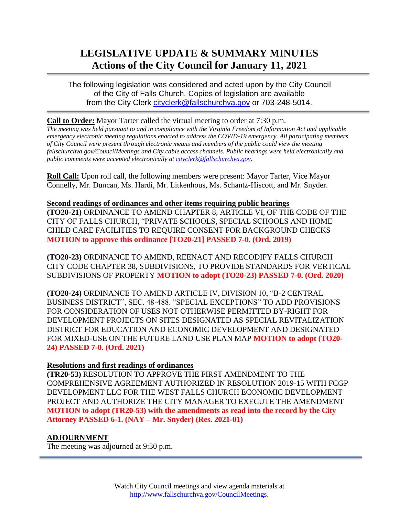# **LEGISLATIVE UPDATE & SUMMARY MINUTES Actions of the City Council for January 11, 2021**

The following legislation was considered and acted upon by the City Council of the City of Falls Church. Copies of legislation are available from the City Clerk [cityclerk@fallschurchva.gov](mailto:cityclerk@fallschurchva.gov) or 703-248-5014.

# **Call to Order:** Mayor Tarter called the virtual meeting to order at 7:30 p.m.

*The meeting was held pursuant to and in compliance with the Virginia Freedom of Information Act and applicable emergency electronic meeting regulations enacted to address the COVID-19 emergency. All participating members of City Council were present through electronic means and members of the public could view the meeting fallschurchva.gov/CouncilMeetings and City cable access channels. Public hearings were held electronically and public comments were accepted electronically a[t cityclerk@fallschurchva.gov.](mailto:cityclerk@fallschurchva.gov)*

**Roll Call:** Upon roll call, the following members were present: Mayor Tarter, Vice Mayor Connelly, Mr. Duncan, Ms. Hardi, Mr. Litkenhous, Ms. Schantz-Hiscott, and Mr. Snyder.

### **Second readings of ordinances and other items requiring public hearings**

**(TO20-21)** ORDINANCE TO AMEND CHAPTER 8, ARTICLE VI, OF THE CODE OF THE CITY OF FALLS CHURCH, "PRIVATE SCHOOLS, SPECIAL SCHOOLS AND HOME CHILD CARE FACILITIES TO REQUIRE CONSENT FOR BACKGROUND CHECKS **MOTION to approve this ordinance [TO20-21] PASSED 7-0. (Ord. 2019)**

**(TO20-23)** ORDINANCE TO AMEND, REENACT AND RECODIFY FALLS CHURCH CITY CODE CHAPTER 38, SUBDIVISIONS, TO PROVIDE STANDARDS FOR VERTICAL SUBDIVISIONS OF PROPERTY **MOTION to adopt (TO20-23) PASSED 7-0. (Ord. 2020)**

**(TO20-24)** ORDINANCE TO AMEND ARTICLE IV, DIVISION 10, "B-2 CENTRAL BUSINESS DISTRICT", SEC. 48-488. "SPECIAL EXCEPTIONS" TO ADD PROVISIONS FOR CONSIDERATION OF USES NOT OTHERWISE PERMITTED BY-RIGHT FOR DEVELOPMENT PROJECTS ON SITES DESIGNATED AS SPECIAL REVITALIZATION DISTRICT FOR EDUCATION AND ECONOMIC DEVELOPMENT AND DESIGNATED FOR MIXED-USE ON THE FUTURE LAND USE PLAN MAP **MOTION to adopt (TO20- 24) PASSED 7-0. (Ord. 2021)**

# **Resolutions and first readings of ordinances**

**(TR20-53)** RESOLUTION TO APPROVE THE FIRST AMENDMENT TO THE COMPREHENSIVE AGREEMENT AUTHORIZED IN RESOLUTION 2019-15 WITH FCGP DEVELOPMENT LLC FOR THE WEST FALLS CHURCH ECONOMIC DEVELOPMENT PROJECT AND AUTHORIZE THE CITY MANAGER TO EXECUTE THE AMENDMENT **MOTION to adopt (TR20-53) with the amendments as read into the record by the City Attorney PASSED 6-1. (NAY – Mr. Snyder) (Res. 2021-01)**

# **ADJOURNMENT**

The meeting was adjourned at 9:30 p.m.